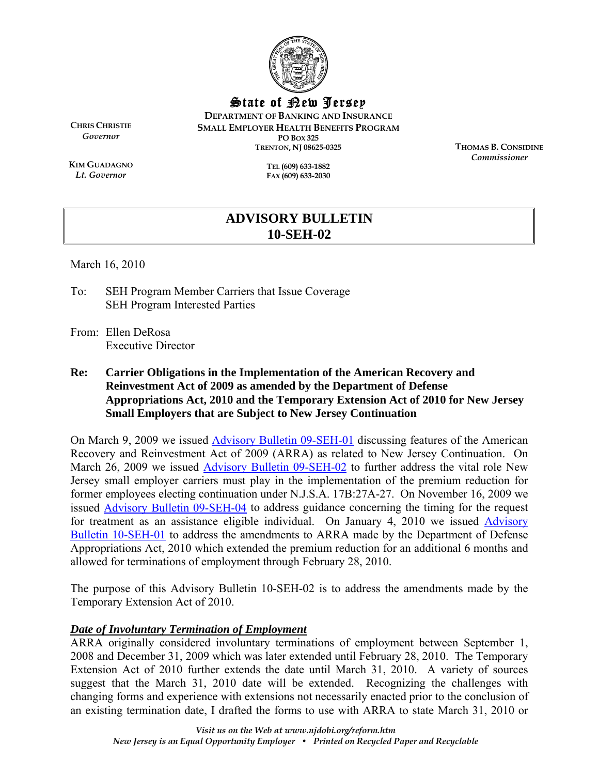

State of New Jersey

**DEPARTMENT OF BANKING AND INSURANCE SMALL EMPLOYER HEALTH BENEFITS PROGRAM PO BOX 325 TRENTON, NJ 08625-0325** 

**CHRIS CHRISTIE** *Governor* 

**KIM GUADAGNO** *Lt. Governor* 

**TEL (609) 633-1882 FAX (609) 633-2030**  **THOMAS B. CONSIDINE** *Commissioner* 

# **ADVISORY BULLETIN 10-SEH-02**

March 16, 2010

To: SEH Program Member Carriers that Issue Coverage SEH Program Interested Parties

From: Ellen DeRosa Executive Director

**Re: Carrier Obligations in the Implementation of the American Recovery and Reinvestment Act of 2009 as amended by the Department of Defense Appropriations Act, 2010 and the Temporary Extension Act of 2010 for New Jersey Small Employers that are Subject to New Jersey Continuation** 

On March 9, 2009 we issued [Advisory Bulletin 09-SEH-01 d](http://www.state.nj.us/dobi/division_insurance/ihcseh/bulletins/sehblt09_01.pdf)iscussing features of the American Recovery and Reinvestment Act of 2009 (ARRA) as related to New Jersey Continuation. On March 26, 2009 we issue[d Advisory Bulletin 09-SEH-02 to](http://www.state.nj.us/dobi/division_insurance/ihcseh/bulletins/09seh02.pdf) further address the vital role New Jersey small employer carriers must play in the implementation of the premium reduction for former employees electing continuation under N.J.S.A. 17B:27A-27. On November 16, 2009 we issued [Advisory Bulletin 09-SEH-04](http://www.state.nj.us/dobi/division_insurance/ihcseh/bulletins/09seh04.pdf) to address guidance concerning the timing for the request for treatment as an assistance eligible individual. On January 4, 2010 we issued [Advisory](http://www.state.nj.us/dobi/division_insurance/ihcseh/bulletins/10seh01.pdf)  [Bulletin 10-SEH-01 t](http://www.state.nj.us/dobi/division_insurance/ihcseh/bulletins/10seh01.pdf)o address the amendments to ARRA made by the Department of Defense Appropriations Act, 2010 which extended the premium reduction for an additional 6 months and allowed for terminations of employment through February 28, 2010.

The purpose of this Advisory Bulletin 10-SEH-02 is to address the amendments made by the Temporary Extension Act of 2010.

# *Date of Involuntary Termination of Employment*

ARRA originally considered involuntary terminations of employment between September 1, 2008 and December 31, 2009 which was later extended until February 28, 2010. The Temporary Extension Act of 2010 further extends the date until March 31, 2010. A variety of sources suggest that the March 31, 2010 date will be extended. Recognizing the challenges with changing forms and experience with extensions not necessarily enacted prior to the conclusion of an existing termination date, I drafted the forms to use with ARRA to state March 31, 2010 or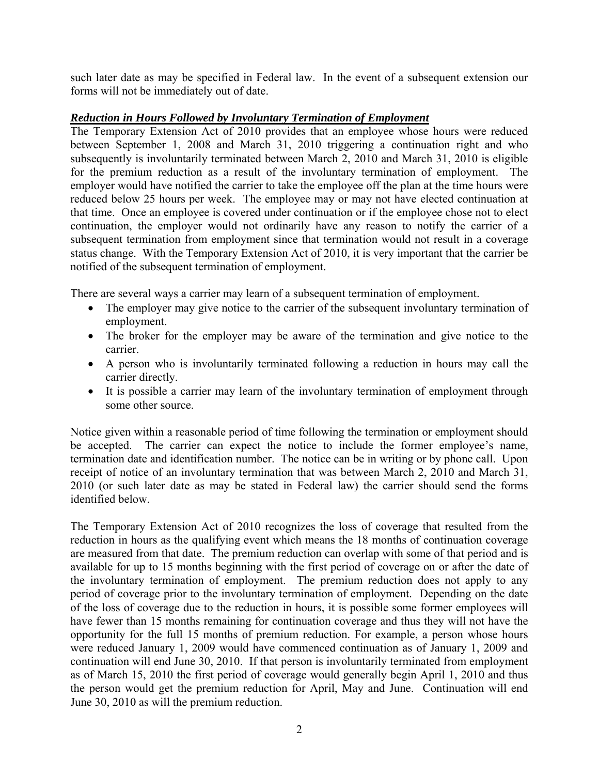such later date as may be specified in Federal law. In the event of a subsequent extension our forms will not be immediately out of date.

## *Reduction in Hours Followed by Involuntary Termination of Employment*

The Temporary Extension Act of 2010 provides that an employee whose hours were reduced between September 1, 2008 and March 31, 2010 triggering a continuation right and who subsequently is involuntarily terminated between March 2, 2010 and March 31, 2010 is eligible for the premium reduction as a result of the involuntary termination of employment. The employer would have notified the carrier to take the employee off the plan at the time hours were reduced below 25 hours per week. The employee may or may not have elected continuation at that time. Once an employee is covered under continuation or if the employee chose not to elect continuation, the employer would not ordinarily have any reason to notify the carrier of a subsequent termination from employment since that termination would not result in a coverage status change. With the Temporary Extension Act of 2010, it is very important that the carrier be notified of the subsequent termination of employment.

There are several ways a carrier may learn of a subsequent termination of employment.

- The employer may give notice to the carrier of the subsequent involuntary termination of employment.
- The broker for the employer may be aware of the termination and give notice to the carrier.
- A person who is involuntarily terminated following a reduction in hours may call the carrier directly.
- It is possible a carrier may learn of the involuntary termination of employment through some other source.

Notice given within a reasonable period of time following the termination or employment should be accepted. The carrier can expect the notice to include the former employee's name, termination date and identification number. The notice can be in writing or by phone call. Upon receipt of notice of an involuntary termination that was between March 2, 2010 and March 31, 2010 (or such later date as may be stated in Federal law) the carrier should send the forms identified below.

The Temporary Extension Act of 2010 recognizes the loss of coverage that resulted from the reduction in hours as the qualifying event which means the 18 months of continuation coverage are measured from that date. The premium reduction can overlap with some of that period and is available for up to 15 months beginning with the first period of coverage on or after the date of the involuntary termination of employment. The premium reduction does not apply to any period of coverage prior to the involuntary termination of employment. Depending on the date of the loss of coverage due to the reduction in hours, it is possible some former employees will have fewer than 15 months remaining for continuation coverage and thus they will not have the opportunity for the full 15 months of premium reduction. For example, a person whose hours were reduced January 1, 2009 would have commenced continuation as of January 1, 2009 and continuation will end June 30, 2010. If that person is involuntarily terminated from employment as of March 15, 2010 the first period of coverage would generally begin April 1, 2010 and thus the person would get the premium reduction for April, May and June. Continuation will end June 30, 2010 as will the premium reduction.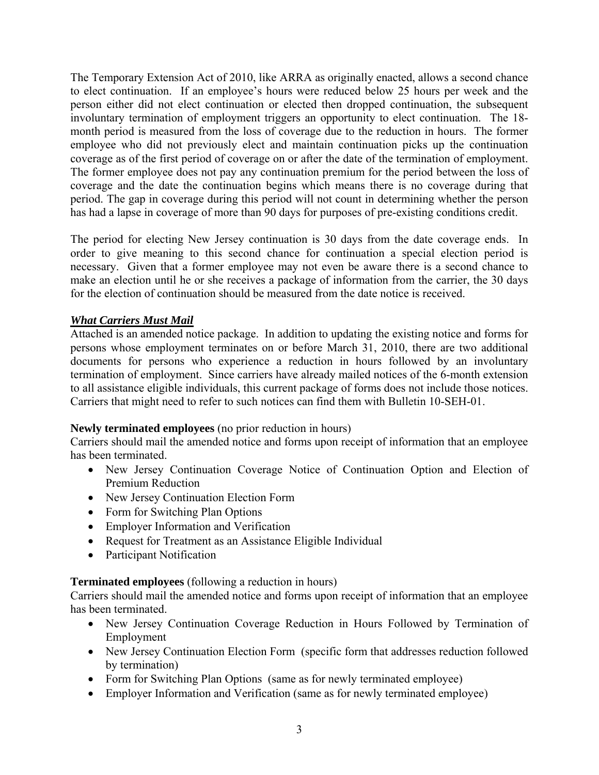The Temporary Extension Act of 2010, like ARRA as originally enacted, allows a second chance to elect continuation. If an employee's hours were reduced below 25 hours per week and the person either did not elect continuation or elected then dropped continuation, the subsequent involuntary termination of employment triggers an opportunity to elect continuation. The 18 month period is measured from the loss of coverage due to the reduction in hours. The former employee who did not previously elect and maintain continuation picks up the continuation coverage as of the first period of coverage on or after the date of the termination of employment. The former employee does not pay any continuation premium for the period between the loss of coverage and the date the continuation begins which means there is no coverage during that period. The gap in coverage during this period will not count in determining whether the person has had a lapse in coverage of more than 90 days for purposes of pre-existing conditions credit.

The period for electing New Jersey continuation is 30 days from the date coverage ends. In order to give meaning to this second chance for continuation a special election period is necessary. Given that a former employee may not even be aware there is a second chance to make an election until he or she receives a package of information from the carrier, the 30 days for the election of continuation should be measured from the date notice is received.

# *What Carriers Must Mail*

Attached is an amended notice package. In addition to updating the existing notice and forms for persons whose employment terminates on or before March 31, 2010, there are two additional documents for persons who experience a reduction in hours followed by an involuntary termination of employment. Since carriers have already mailed notices of the 6-month extension to all assistance eligible individuals, this current package of forms does not include those notices. Carriers that might need to refer to such notices can find them with Bulletin 10-SEH-01.

### **Newly terminated employees** (no prior reduction in hours)

Carriers should mail the amended notice and forms upon receipt of information that an employee has been terminated.

- New Jersey Continuation Coverage Notice of Continuation Option and Election of Premium Reduction
- New Jersey Continuation Election Form
- Form for Switching Plan Options
- Employer Information and Verification
- Request for Treatment as an Assistance Eligible Individual
- Participant Notification

### **Terminated employees** (following a reduction in hours)

Carriers should mail the amended notice and forms upon receipt of information that an employee has been terminated.

- New Jersey Continuation Coverage Reduction in Hours Followed by Termination of Employment
- New Jersey Continuation Election Form (specific form that addresses reduction followed by termination)
- Form for Switching Plan Options (same as for newly terminated employee)
- Employer Information and Verification (same as for newly terminated employee)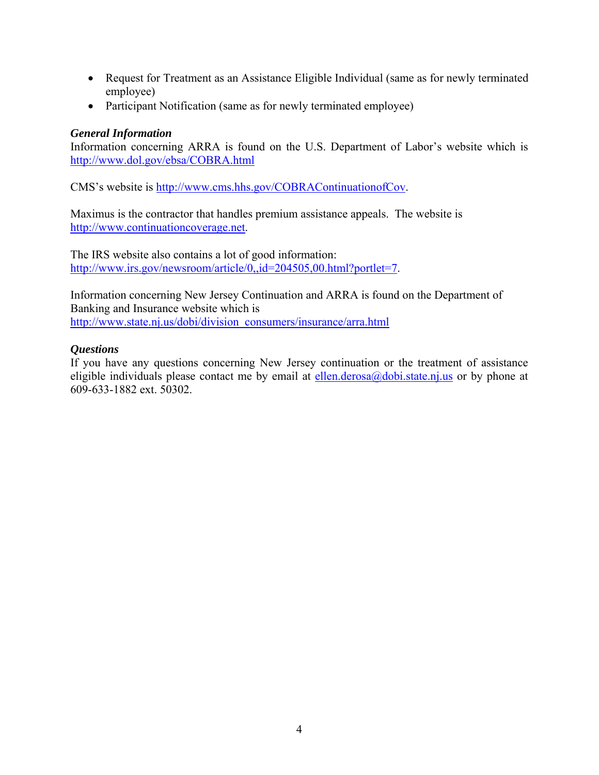- Request for Treatment as an Assistance Eligible Individual (same as for newly terminated employee)
- Participant Notification (same as for newly terminated employee)

# *General Information*

Information concerning ARRA is found on the U.S. Department of Labor's website which is http://www.dol.gov/ebsa/COBRA.html

CMS's website is http://www.cms.hhs.gov/COBRAContinuationofCov.

Maximus is the contractor that handles premium assistance appeals. The website is http://www.continuationcoverage.net.

The IRS website also contains a lot of good information: http://www.irs.gov/newsroom/article/0,,id=204505,00.html?portlet=7.

Information concerning New Jersey Continuation and ARRA is found on the Department of Banking and Insurance website which is http://www.state.nj.us/dobi/division\_consumers/insurance/arra.html

## *Questions*

If you have any questions concerning New Jersey continuation or the treatment of assistance eligible individuals please contact me by email at ellen.derosa@dobi.state.nj.us or by phone at 609-633-1882 ext. 50302.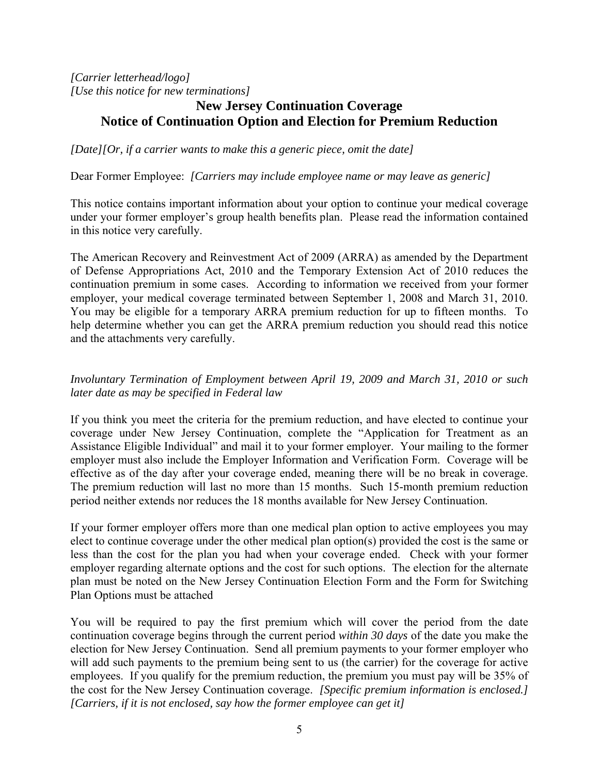*[Carrier letterhead/logo] [Use this notice for new terminations]* 

# **New Jersey Continuation Coverage Notice of Continuation Option and Election for Premium Reduction**

*[Date][Or, if a carrier wants to make this a generic piece, omit the date]* 

Dear Former Employee: *[Carriers may include employee name or may leave as generic]* 

This notice contains important information about your option to continue your medical coverage under your former employer's group health benefits plan. Please read the information contained in this notice very carefully.

The American Recovery and Reinvestment Act of 2009 (ARRA) as amended by the Department of Defense Appropriations Act, 2010 and the Temporary Extension Act of 2010 reduces the continuation premium in some cases. According to information we received from your former employer, your medical coverage terminated between September 1, 2008 and March 31, 2010. You may be eligible for a temporary ARRA premium reduction for up to fifteen months. To help determine whether you can get the ARRA premium reduction you should read this notice and the attachments very carefully.

# *Involuntary Termination of Employment between April 19, 2009 and March 31, 2010 or such later date as may be specified in Federal law*

If you think you meet the criteria for the premium reduction, and have elected to continue your coverage under New Jersey Continuation, complete the "Application for Treatment as an Assistance Eligible Individual" and mail it to your former employer. Your mailing to the former employer must also include the Employer Information and Verification Form. Coverage will be effective as of the day after your coverage ended, meaning there will be no break in coverage. The premium reduction will last no more than 15 months. Such 15-month premium reduction period neither extends nor reduces the 18 months available for New Jersey Continuation.

If your former employer offers more than one medical plan option to active employees you may elect to continue coverage under the other medical plan option(s) provided the cost is the same or less than the cost for the plan you had when your coverage ended. Check with your former employer regarding alternate options and the cost for such options. The election for the alternate plan must be noted on the New Jersey Continuation Election Form and the Form for Switching Plan Options must be attached

You will be required to pay the first premium which will cover the period from the date continuation coverage begins through the current period *within 30 days* of the date you make the election for New Jersey Continuation. Send all premium payments to your former employer who will add such payments to the premium being sent to us (the carrier) for the coverage for active employees. If you qualify for the premium reduction, the premium you must pay will be 35% of the cost for the New Jersey Continuation coverage. *[Specific premium information is enclosed.] [Carriers, if it is not enclosed, say how the former employee can get it]*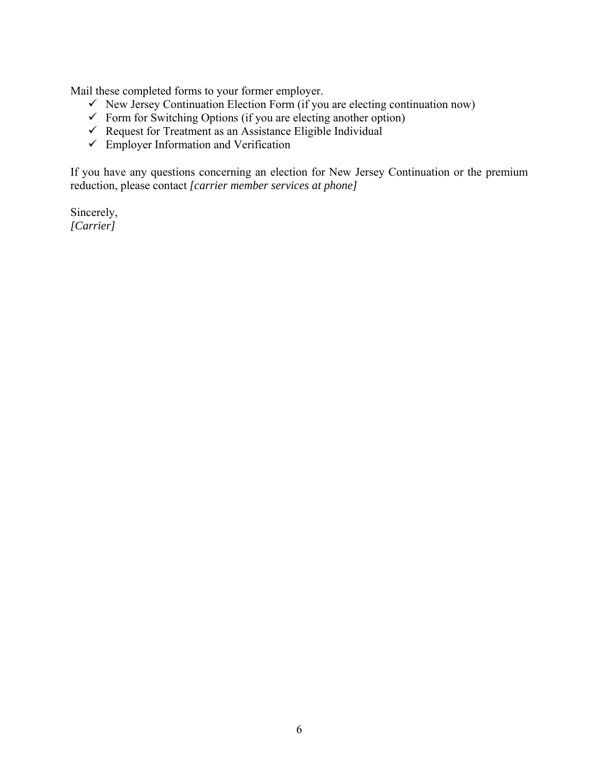Mail these completed forms to your former employer.

- $\checkmark$  New Jersey Continuation Election Form (if you are electing continuation now)
- $\checkmark$  Form for Switching Options (if you are electing another option)
- $\checkmark$  Request for Treatment as an Assistance Eligible Individual
- $\checkmark$  Employer Information and Verification

If you have any questions concerning an election for New Jersey Continuation or the premium reduction, please contact *[carrier member services at phone]*

Sincerely, *[Carrier]*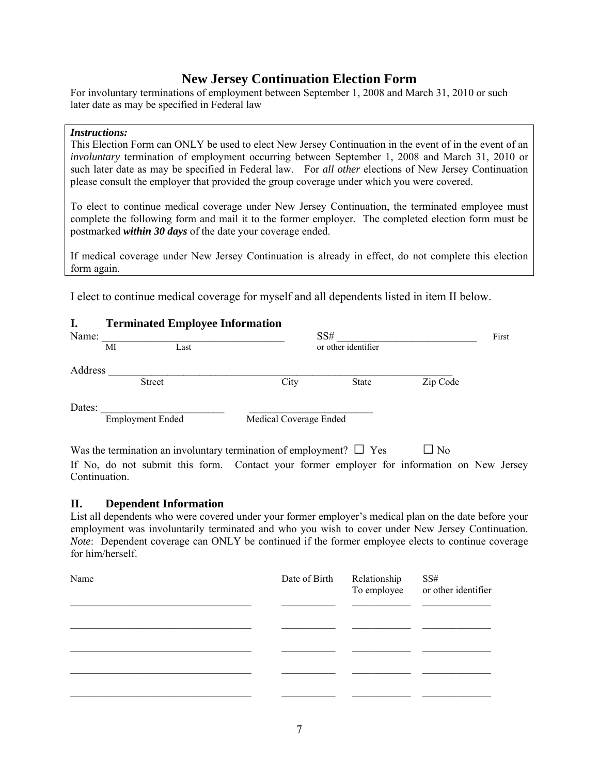# **New Jersey Continuation Election Form**

For involuntary terminations of employment between September 1, 2008 and March 31, 2010 or such later date as may be specified in Federal law

#### *Instructions:*

This Election Form can ONLY be used to elect New Jersey Continuation in the event of in the event of an *involuntary* termination of employment occurring between September 1, 2008 and March 31, 2010 or such later date as may be specified in Federal law. For *all other* elections of New Jersey Continuation please consult the employer that provided the group coverage under which you were covered.

To elect to continue medical coverage under New Jersey Continuation, the terminated employee must complete the following form and mail it to the former employer*.* The completed election form must be postmarked *within 30 days* of the date your coverage ended.

If medical coverage under New Jersey Continuation is already in effect, do not complete this election form again.

I elect to continue medical coverage for myself and all dependents listed in item II below.

| I.      | <b>Terminated Employee Information</b> |      |                        |                     |          |  |
|---------|----------------------------------------|------|------------------------|---------------------|----------|--|
| Name:   |                                        |      |                        | SS#                 |          |  |
|         | МI                                     | Last |                        | or other identifier |          |  |
| Address |                                        |      |                        |                     |          |  |
|         | <b>Street</b>                          |      | City                   | <b>State</b>        | Zip Code |  |
| Dates:  |                                        |      |                        |                     |          |  |
|         | <b>Employment Ended</b>                |      | Medical Coverage Ended |                     |          |  |

Was the termination an involuntary termination of employment?  $\Box$  Yes  $\Box$  No If No, do not submit this form. Contact your former employer for information on New Jersey Continuation.

#### **II. Dependent Information**

List all dependents who were covered under your former employer's medical plan on the date before your employment was involuntarily terminated and who you wish to cover under New Jersey Continuation. *Note*: Dependent coverage can ONLY be continued if the former employee elects to continue coverage for him/herself.

| Name | Date of Birth Relationship | SS#<br>To employee or other identifier |
|------|----------------------------|----------------------------------------|
|      |                            |                                        |
|      |                            |                                        |
|      |                            |                                        |
|      |                            |                                        |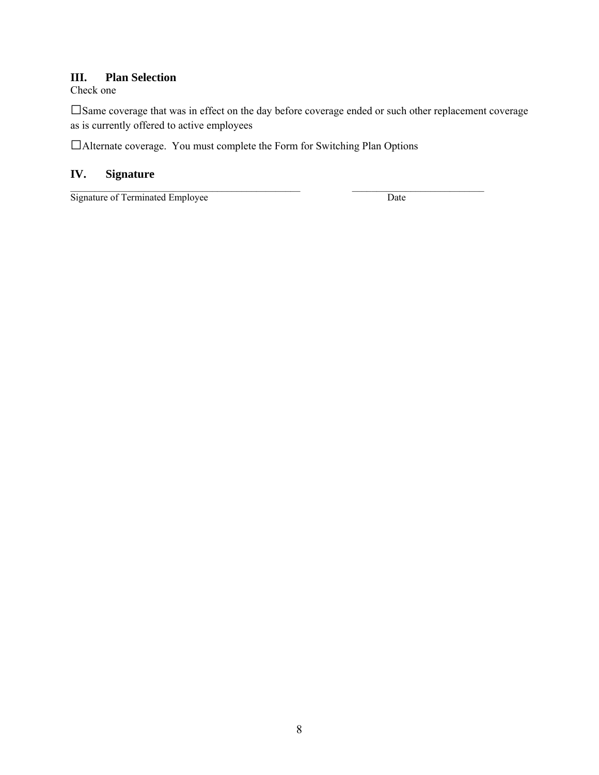## **III. Plan Selection**

Check one

□Same coverage that was in effect on the day before coverage ended or such other replacement coverage as is currently offered to active employees

 $\mathcal{L}_\text{max}$  , and the set of the set of the set of the set of the set of the set of the set of the set of the set of

□Alternate coverage. You must complete the Form for Switching Plan Options

# **IV. Signature**

Signature of Terminated Employee Date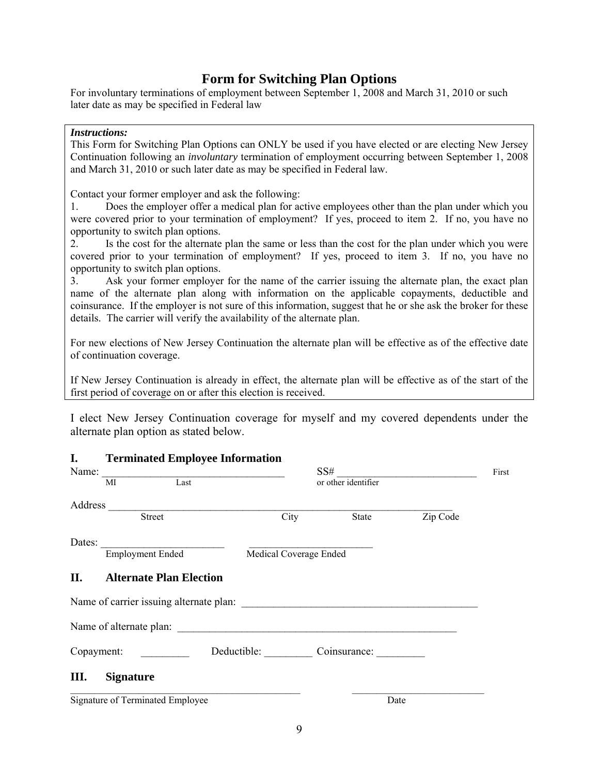# **Form for Switching Plan Options**

For involuntary terminations of employment between September 1, 2008 and March 31, 2010 or such later date as may be specified in Federal law

#### *Instructions:*

This Form for Switching Plan Options can ONLY be used if you have elected or are electing New Jersey Continuation following an *involuntary* termination of employment occurring between September 1, 2008 and March 31, 2010 or such later date as may be specified in Federal law.

Contact your former employer and ask the following:

1. Does the employer offer a medical plan for active employees other than the plan under which you were covered prior to your termination of employment? If yes, proceed to item 2. If no, you have no opportunity to switch plan options.

2. Is the cost for the alternate plan the same or less than the cost for the plan under which you were covered prior to your termination of employment? If yes, proceed to item 3. If no, you have no opportunity to switch plan options.

3. Ask your former employer for the name of the carrier issuing the alternate plan, the exact plan name of the alternate plan along with information on the applicable copayments, deductible and coinsurance. If the employer is not sure of this information, suggest that he or she ask the broker for these details. The carrier will verify the availability of the alternate plan.

For new elections of New Jersey Continuation the alternate plan will be effective as of the effective date of continuation coverage.

If New Jersey Continuation is already in effect, the alternate plan will be effective as of the start of the first period of coverage on or after this election is received.

I elect New Jersey Continuation coverage for myself and my covered dependents under the alternate plan option as stated below.

| ı.         | Terminated Employee Information  |                          |                     |          |  |
|------------|----------------------------------|--------------------------|---------------------|----------|--|
|            | $SS\#$<br>Name: MI Last          |                          |                     |          |  |
|            |                                  |                          | or other identifier |          |  |
|            |                                  |                          |                     |          |  |
|            | Address Street                   | City                     | State               | Zip Code |  |
|            |                                  |                          |                     |          |  |
|            | Dates: Employment Ended          | Medical Coverage Ended   |                     |          |  |
| <b>II.</b> | <b>Alternate Plan Election</b>   |                          |                     |          |  |
|            |                                  |                          |                     |          |  |
|            |                                  |                          |                     |          |  |
|            | Copayment:                       | Deductible: Coinsurance: |                     |          |  |
| Ш.         | <b>Signature</b>                 |                          |                     |          |  |
|            | Signature of Terminated Employee |                          | Date                |          |  |

# **I. Terminated Employee Information**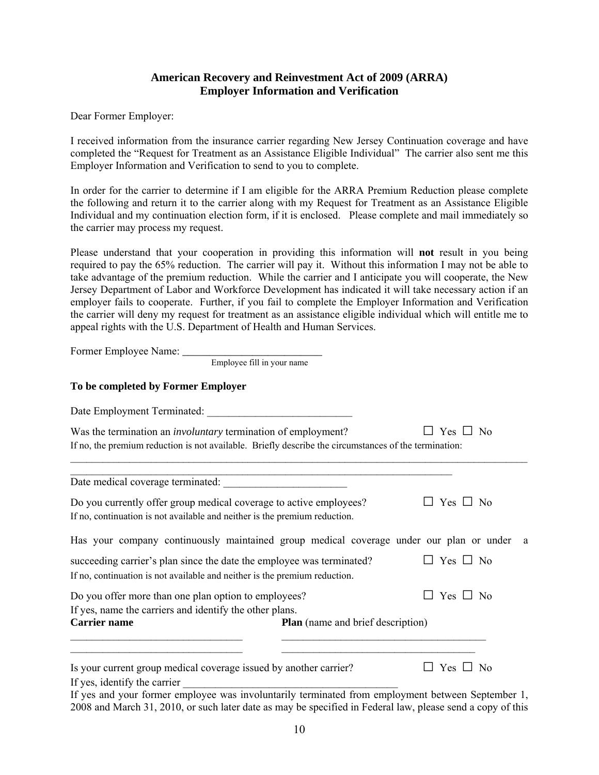### **American Recovery and Reinvestment Act of 2009 (ARRA) Employer Information and Verification**

Dear Former Employer:

I received information from the insurance carrier regarding New Jersey Continuation coverage and have completed the "Request for Treatment as an Assistance Eligible Individual" The carrier also sent me this Employer Information and Verification to send to you to complete.

In order for the carrier to determine if I am eligible for the ARRA Premium Reduction please complete the following and return it to the carrier along with my Request for Treatment as an Assistance Eligible Individual and my continuation election form, if it is enclosed. Please complete and mail immediately so the carrier may process my request.

Please understand that your cooperation in providing this information will **not** result in you being required to pay the 65% reduction. The carrier will pay it. Without this information I may not be able to take advantage of the premium reduction. While the carrier and I anticipate you will cooperate, the New Jersey Department of Labor and Workforce Development has indicated it will take necessary action if an employer fails to cooperate. Further, if you fail to complete the Employer Information and Verification the carrier will deny my request for treatment as an assistance eligible individual which will entitle me to appeal rights with the U.S. Department of Health and Human Services.

| Employee fill in your name                                                                                                                                                                                                                                                                                                                                                             |                      |
|----------------------------------------------------------------------------------------------------------------------------------------------------------------------------------------------------------------------------------------------------------------------------------------------------------------------------------------------------------------------------------------|----------------------|
| To be completed by Former Employer                                                                                                                                                                                                                                                                                                                                                     |                      |
|                                                                                                                                                                                                                                                                                                                                                                                        |                      |
| Was the termination an <i>involuntary</i> termination of employment?<br>If no, the premium reduction is not available. Briefly describe the circumstances of the termination:                                                                                                                                                                                                          | $\Box$ Yes $\Box$ No |
| <u> 1989 - Johann Stein, marwolaethau a bhannaich an t-</u>                                                                                                                                                                                                                                                                                                                            |                      |
| Do you currently offer group medical coverage to active employees?<br>If no, continuation is not available and neither is the premium reduction.                                                                                                                                                                                                                                       | $\Box$ Yes $\Box$ No |
| Has your company continuously maintained group medical coverage under our plan or under                                                                                                                                                                                                                                                                                                | a                    |
| succeeding carrier's plan since the date the employee was terminated?<br>If no, continuation is not available and neither is the premium reduction.                                                                                                                                                                                                                                    | $\Box$ Yes $\Box$ No |
| Do you offer more than one plan option to employees?<br>If yes, name the carriers and identify the other plans.<br><b>Carrier name</b><br><b>Plan</b> (name and brief description)                                                                                                                                                                                                     | Yes $\Box$ No        |
| <u> 1989 - Johann Barbara, margaret eta idazlea (h. 1989).</u><br><u> 1980 - Johann Johann Stoff, deutscher Stoffen und der Stoffen und der Stoffen und der Stoffen und der Stoffen</u><br><u> 1989 - Johann Barbara, martxa alemaniar amerikan basar da a</u><br><u> 1989 - Johann Barn, mars ann an t-Amhain Aonaich an t-Aonaich an t-Aonaich ann an t-Aonaich ann an t-Aonaich</u> |                      |
| Is your current group medical coverage issued by another carrier?<br>If yes, identify the carrier                                                                                                                                                                                                                                                                                      | $\Box$ Yes $\Box$ No |
| If yes and your former employee was involuntarily terminated from employment between September 1,                                                                                                                                                                                                                                                                                      |                      |

2008 and March 31, 2010, or such later date as may be specified in Federal law, please send a copy of this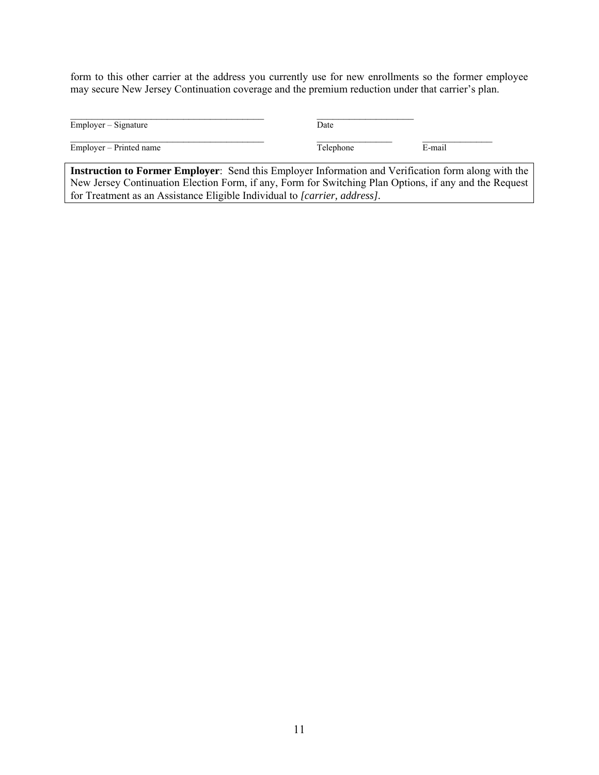form to this other carrier at the address you currently use for new enrollments so the former employee may secure New Jersey Continuation coverage and the premium reduction under that carrier's plan.

|                         | Date      |        |
|-------------------------|-----------|--------|
| Employer – Signature    |           |        |
| Employer – Printed name | Telephone | E-mail |

**Instruction to Former Employer**: Send this Employer Information and Verification form along with the New Jersey Continuation Election Form, if any, Form for Switching Plan Options, if any and the Request for Treatment as an Assistance Eligible Individual to *[carrier, address].*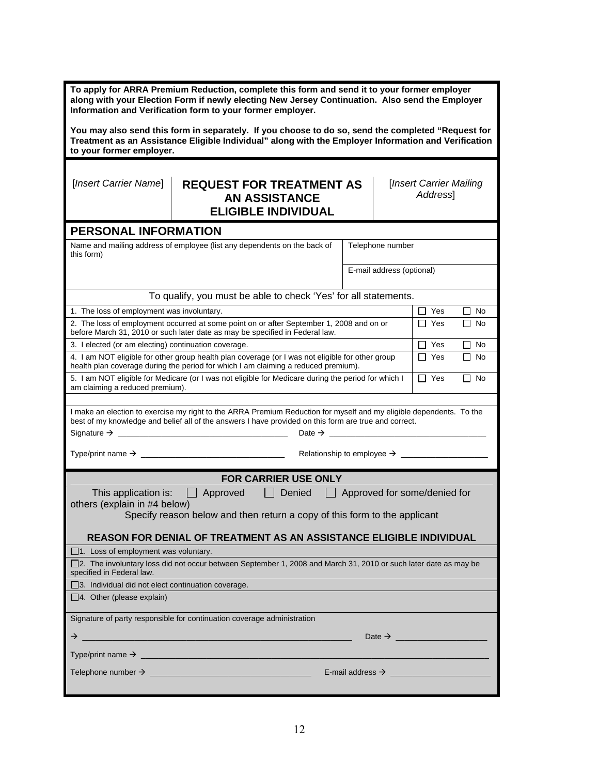| To apply for ARRA Premium Reduction, complete this form and send it to your former employer<br>along with your Election Form if newly electing New Jersey Continuation. Also send the Employer<br>Information and Verification form to your former employer. |                                                                                                                                                                                                                              |                                     |                         |  |  |
|--------------------------------------------------------------------------------------------------------------------------------------------------------------------------------------------------------------------------------------------------------------|------------------------------------------------------------------------------------------------------------------------------------------------------------------------------------------------------------------------------|-------------------------------------|-------------------------|--|--|
| to your former employer.                                                                                                                                                                                                                                     | You may also send this form in separately. If you choose to do so, send the completed "Request for<br>Treatment as an Assistance Eligible Individual" along with the Employer Information and Verification                   |                                     |                         |  |  |
| [Insert Carrier Name]                                                                                                                                                                                                                                        | <b>REQUEST FOR TREATMENT AS</b><br>[Insert Carrier Mailing<br>Address]<br><b>AN ASSISTANCE</b><br><b>ELIGIBLE INDIVIDUAL</b>                                                                                                 |                                     |                         |  |  |
| PERSONAL INFORMATION                                                                                                                                                                                                                                         |                                                                                                                                                                                                                              |                                     |                         |  |  |
| this form)                                                                                                                                                                                                                                                   | Name and mailing address of employee (list any dependents on the back of                                                                                                                                                     | Telephone number                    |                         |  |  |
|                                                                                                                                                                                                                                                              |                                                                                                                                                                                                                              | E-mail address (optional)           |                         |  |  |
|                                                                                                                                                                                                                                                              | To qualify, you must be able to check 'Yes' for all statements.                                                                                                                                                              |                                     |                         |  |  |
| 1. The loss of employment was involuntary.                                                                                                                                                                                                                   |                                                                                                                                                                                                                              |                                     | $\Box$ Yes<br>$\Box$ No |  |  |
|                                                                                                                                                                                                                                                              | 2. The loss of employment occurred at some point on or after September 1, 2008 and on or<br>before March 31, 2010 or such later date as may be specified in Federal law.                                                     |                                     | $\Box$ Yes<br>$\Box$ No |  |  |
| 3. I elected (or am electing) continuation coverage.                                                                                                                                                                                                         |                                                                                                                                                                                                                              |                                     | $\Box$ Yes<br>$\Box$ No |  |  |
|                                                                                                                                                                                                                                                              | 4. I am NOT eligible for other group health plan coverage (or I was not eligible for other group<br>health plan coverage during the period for which I am claiming a reduced premium).                                       |                                     | $\Box$ Yes<br>l I No    |  |  |
| am claiming a reduced premium).                                                                                                                                                                                                                              | 5. I am NOT eligible for Medicare (or I was not eligible for Medicare during the period for which I                                                                                                                          |                                     | $\Box$ Yes<br>$\Box$ No |  |  |
|                                                                                                                                                                                                                                                              | I make an election to exercise my right to the ARRA Premium Reduction for myself and my eligible dependents. To the<br>best of my knowledge and belief all of the answers I have provided on this form are true and correct. |                                     |                         |  |  |
|                                                                                                                                                                                                                                                              |                                                                                                                                                                                                                              |                                     |                         |  |  |
| <b>FOR CARRIER USE ONLY</b>                                                                                                                                                                                                                                  |                                                                                                                                                                                                                              |                                     |                         |  |  |
| This application is:<br>others (explain in #4 below)                                                                                                                                                                                                         | $\Box$ Approved<br>Denied<br>$\mathbf{L}$                                                                                                                                                                                    | $\Box$ Approved for some/denied for |                         |  |  |
|                                                                                                                                                                                                                                                              | Specify reason below and then return a copy of this form to the applicant                                                                                                                                                    |                                     |                         |  |  |
|                                                                                                                                                                                                                                                              | REASON FOR DENIAL OF TREATMENT AS AN ASSISTANCE ELIGIBLE INDIVIDUAL                                                                                                                                                          |                                     |                         |  |  |
| 1. Loss of employment was voluntary.                                                                                                                                                                                                                         |                                                                                                                                                                                                                              |                                     |                         |  |  |
| specified in Federal law.                                                                                                                                                                                                                                    | □2. The involuntary loss did not occur between September 1, 2008 and March 31, 2010 or such later date as may be                                                                                                             |                                     |                         |  |  |
| □ 3. Individual did not elect continuation coverage.<br>$\Box$ 4. Other (please explain)                                                                                                                                                                     |                                                                                                                                                                                                                              |                                     |                         |  |  |
|                                                                                                                                                                                                                                                              | Signature of party responsible for continuation coverage administration                                                                                                                                                      |                                     |                         |  |  |
| $\rightarrow$                                                                                                                                                                                                                                                | Date $\rightarrow$<br><u> 1980 - Jan James James James James James James James James James James James James James James James James J</u>                                                                                   |                                     |                         |  |  |
|                                                                                                                                                                                                                                                              |                                                                                                                                                                                                                              |                                     |                         |  |  |
| E-mail address $\rightarrow$                                                                                                                                                                                                                                 |                                                                                                                                                                                                                              |                                     |                         |  |  |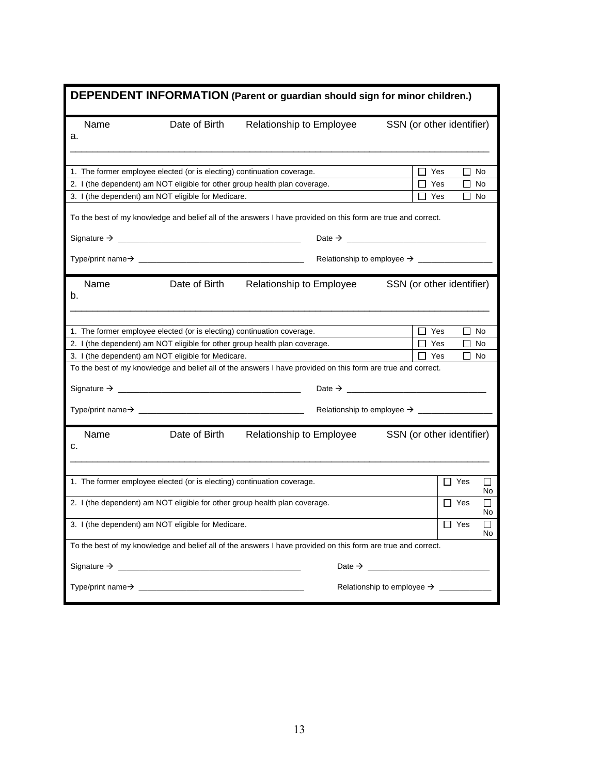|    | DEPENDENT INFORMATION (Parent or guardian should sign for minor children.)                                   |                                                                        |                                                                                                              |                                                   |  |  |
|----|--------------------------------------------------------------------------------------------------------------|------------------------------------------------------------------------|--------------------------------------------------------------------------------------------------------------|---------------------------------------------------|--|--|
| а. | Name                                                                                                         | Date of Birth                                                          | Relationship to Employee                                                                                     | SSN (or other identifier)                         |  |  |
|    |                                                                                                              |                                                                        |                                                                                                              |                                                   |  |  |
|    |                                                                                                              | 1. The former employee elected (or is electing) continuation coverage. | 2. I (the dependent) am NOT eligible for other group health plan coverage.                                   | $\Box$ Yes<br>П<br>No<br>$\Box$ Yes<br>$\Box$ No  |  |  |
|    |                                                                                                              | 3. I (the dependent) am NOT eligible for Medicare.                     |                                                                                                              | $\square$ No<br>∐ Yes                             |  |  |
|    |                                                                                                              |                                                                        | To the best of my knowledge and belief all of the answers I have provided on this form are true and correct. |                                                   |  |  |
|    |                                                                                                              |                                                                        |                                                                                                              |                                                   |  |  |
|    |                                                                                                              |                                                                        |                                                                                                              |                                                   |  |  |
|    |                                                                                                              |                                                                        |                                                                                                              |                                                   |  |  |
| b. | Name                                                                                                         | Date of Birth                                                          | Relationship to Employee                                                                                     | SSN (or other identifier)                         |  |  |
|    |                                                                                                              | 1. The former employee elected (or is electing) continuation coverage. |                                                                                                              | $\Box$ Yes<br>$\Box$<br>No                        |  |  |
|    |                                                                                                              |                                                                        | 2. I (the dependent) am NOT eligible for other group health plan coverage.                                   | ∐ Yes<br>l I No                                   |  |  |
|    |                                                                                                              | 3. I (the dependent) am NOT eligible for Medicare.                     |                                                                                                              | Yes<br>П<br>No                                    |  |  |
|    |                                                                                                              |                                                                        | To the best of my knowledge and belief all of the answers I have provided on this form are true and correct. |                                                   |  |  |
|    |                                                                                                              |                                                                        |                                                                                                              |                                                   |  |  |
|    |                                                                                                              |                                                                        |                                                                                                              |                                                   |  |  |
| c. | Name                                                                                                         | Date of Birth                                                          | Relationship to Employee                                                                                     | SSN (or other identifier)                         |  |  |
|    |                                                                                                              | 1. The former employee elected (or is electing) continuation coverage. |                                                                                                              | $\Box$ Yes<br>No                                  |  |  |
|    |                                                                                                              |                                                                        | 2. I (the dependent) am NOT eligible for other group health plan coverage.                                   | $\Box$ Yes<br>ΙI<br>No                            |  |  |
|    |                                                                                                              | 3. I (the dependent) am NOT eligible for Medicare.                     |                                                                                                              | $\Box$ Yes<br>□<br>No                             |  |  |
|    | To the best of my knowledge and belief all of the answers I have provided on this form are true and correct. |                                                                        |                                                                                                              |                                                   |  |  |
|    |                                                                                                              |                                                                        |                                                                                                              | Date $\rightarrow$                                |  |  |
|    |                                                                                                              | $Type\prime$ print name $\rightarrow$                                  |                                                                                                              | Relationship to employee $\rightarrow$ __________ |  |  |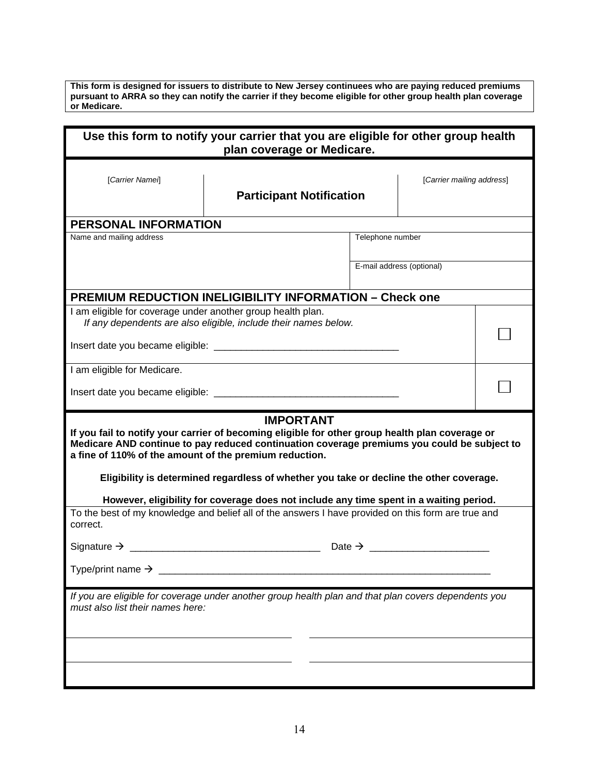**This form is designed for issuers to distribute to New Jersey continuees who are paying reduced premiums pursuant to ARRA so they can notify the carrier if they become eligible for other group health plan coverage or Medicare.** 

| Use this form to notify your carrier that you are eligible for other group health<br>plan coverage or Medicare.                                                                                                                                                                                                                                                         |                                                                                                                                                                                               |                  |                           |  |  |
|-------------------------------------------------------------------------------------------------------------------------------------------------------------------------------------------------------------------------------------------------------------------------------------------------------------------------------------------------------------------------|-----------------------------------------------------------------------------------------------------------------------------------------------------------------------------------------------|------------------|---------------------------|--|--|
| [Carrier Namei]<br>[Carrier mailing address]<br><b>Participant Notification</b>                                                                                                                                                                                                                                                                                         |                                                                                                                                                                                               |                  |                           |  |  |
| <b>PERSONAL INFORMATION</b>                                                                                                                                                                                                                                                                                                                                             |                                                                                                                                                                                               |                  |                           |  |  |
| Name and mailing address                                                                                                                                                                                                                                                                                                                                                |                                                                                                                                                                                               | Telephone number |                           |  |  |
|                                                                                                                                                                                                                                                                                                                                                                         |                                                                                                                                                                                               |                  | E-mail address (optional) |  |  |
|                                                                                                                                                                                                                                                                                                                                                                         | <b>PREMIUM REDUCTION INELIGIBILITY INFORMATION - Check one</b>                                                                                                                                |                  |                           |  |  |
| I am eligible for coverage under another group health plan.                                                                                                                                                                                                                                                                                                             | If any dependents are also eligible, include their names below.                                                                                                                               |                  |                           |  |  |
| I am eligible for Medicare.                                                                                                                                                                                                                                                                                                                                             |                                                                                                                                                                                               |                  |                           |  |  |
|                                                                                                                                                                                                                                                                                                                                                                         |                                                                                                                                                                                               |                  |                           |  |  |
| <b>IMPORTANT</b><br>If you fail to notify your carrier of becoming eligible for other group health plan coverage or<br>Medicare AND continue to pay reduced continuation coverage premiums you could be subject to<br>a fine of 110% of the amount of the premium reduction.<br>Eligibility is determined regardless of whether you take or decline the other coverage. |                                                                                                                                                                                               |                  |                           |  |  |
| correct.                                                                                                                                                                                                                                                                                                                                                                | However, eligibility for coverage does not include any time spent in a waiting period.<br>To the best of my knowledge and belief all of the answers I have provided on this form are true and |                  |                           |  |  |
|                                                                                                                                                                                                                                                                                                                                                                         |                                                                                                                                                                                               |                  |                           |  |  |
| Type/print name $\rightarrow$                                                                                                                                                                                                                                                                                                                                           |                                                                                                                                                                                               |                  |                           |  |  |
| If you are eligible for coverage under another group health plan and that plan covers dependents you<br>must also list their names here:                                                                                                                                                                                                                                |                                                                                                                                                                                               |                  |                           |  |  |
|                                                                                                                                                                                                                                                                                                                                                                         |                                                                                                                                                                                               |                  |                           |  |  |
|                                                                                                                                                                                                                                                                                                                                                                         |                                                                                                                                                                                               |                  |                           |  |  |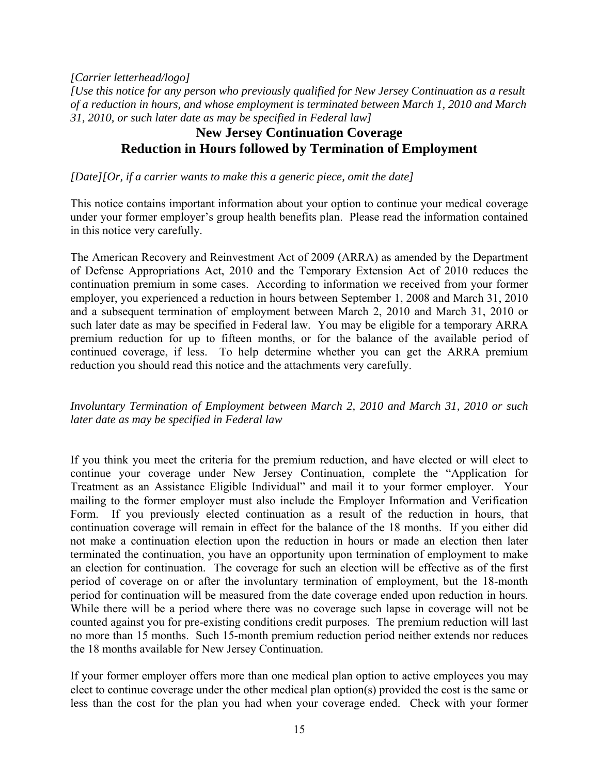*[Carrier letterhead/logo]* 

*[Use this notice for any person who previously qualified for New Jersey Continuation as a result of a reduction in hours, and whose employment is terminated between March 1, 2010 and March 31, 2010, or such later date as may be specified in Federal law]* 

# **New Jersey Continuation Coverage Reduction in Hours followed by Termination of Employment**

*[Date][Or, if a carrier wants to make this a generic piece, omit the date]* 

This notice contains important information about your option to continue your medical coverage under your former employer's group health benefits plan. Please read the information contained in this notice very carefully.

The American Recovery and Reinvestment Act of 2009 (ARRA) as amended by the Department of Defense Appropriations Act, 2010 and the Temporary Extension Act of 2010 reduces the continuation premium in some cases. According to information we received from your former employer, you experienced a reduction in hours between September 1, 2008 and March 31, 2010 and a subsequent termination of employment between March 2, 2010 and March 31, 2010 or such later date as may be specified in Federal law. You may be eligible for a temporary ARRA premium reduction for up to fifteen months, or for the balance of the available period of continued coverage, if less. To help determine whether you can get the ARRA premium reduction you should read this notice and the attachments very carefully.

## *Involuntary Termination of Employment between March 2, 2010 and March 31, 2010 or such later date as may be specified in Federal law*

If you think you meet the criteria for the premium reduction, and have elected or will elect to continue your coverage under New Jersey Continuation, complete the "Application for Treatment as an Assistance Eligible Individual" and mail it to your former employer. Your mailing to the former employer must also include the Employer Information and Verification Form. If you previously elected continuation as a result of the reduction in hours, that continuation coverage will remain in effect for the balance of the 18 months. If you either did not make a continuation election upon the reduction in hours or made an election then later terminated the continuation, you have an opportunity upon termination of employment to make an election for continuation. The coverage for such an election will be effective as of the first period of coverage on or after the involuntary termination of employment, but the 18-month period for continuation will be measured from the date coverage ended upon reduction in hours. While there will be a period where there was no coverage such lapse in coverage will not be counted against you for pre-existing conditions credit purposes. The premium reduction will last no more than 15 months. Such 15-month premium reduction period neither extends nor reduces the 18 months available for New Jersey Continuation.

If your former employer offers more than one medical plan option to active employees you may elect to continue coverage under the other medical plan option(s) provided the cost is the same or less than the cost for the plan you had when your coverage ended. Check with your former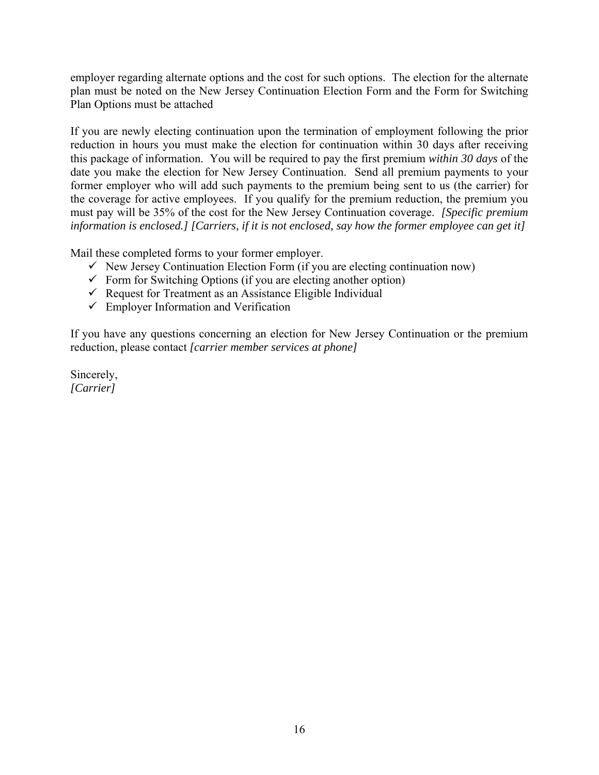employer regarding alternate options and the cost for such options. The election for the alternate plan must be noted on the New Jersey Continuation Election Form and the Form for Switching Plan Options must be attached

If you are newly electing continuation upon the termination of employment following the prior reduction in hours you must make the election for continuation within 30 days after receiving this package of information. You will be required to pay the first premium *within 30 days* of the date you make the election for New Jersey Continuation. Send all premium payments to your former employer who will add such payments to the premium being sent to us (the carrier) for the coverage for active employees. If you qualify for the premium reduction, the premium you must pay will be 35% of the cost for the New Jersey Continuation coverage. *[Specific premium information is enclosed.] [Carriers, if it is not enclosed, say how the former employee can get it]* 

Mail these completed forms to your former employer.

- $\checkmark$  New Jersey Continuation Election Form (if you are electing continuation now)
- $\checkmark$  Form for Switching Options (if you are electing another option)
- Request for Treatment as an Assistance Eligible Individual
- $\checkmark$  Employer Information and Verification

If you have any questions concerning an election for New Jersey Continuation or the premium reduction, please contact *[carrier member services at phone]*

Sincerely, *[Carrier]*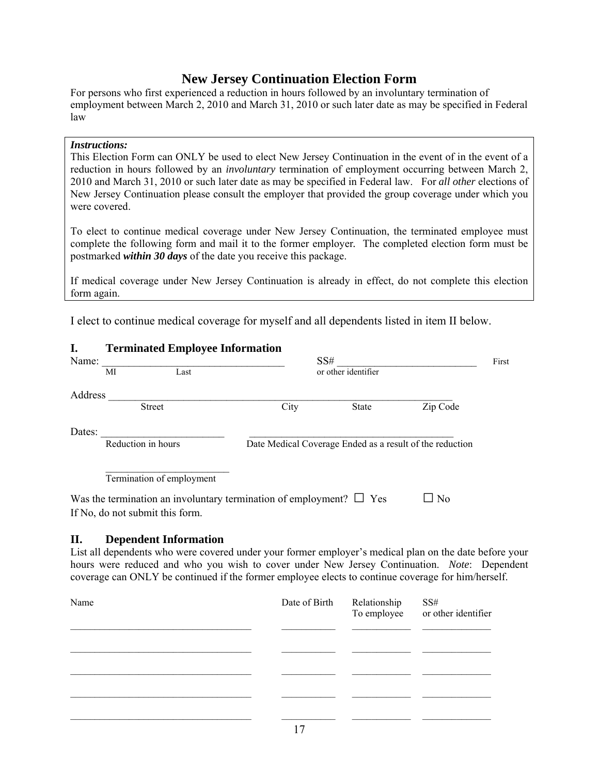# **New Jersey Continuation Election Form**

For persons who first experienced a reduction in hours followed by an involuntary termination of employment between March 2, 2010 and March 31, 2010 or such later date as may be specified in Federal law

#### *Instructions:*

This Election Form can ONLY be used to elect New Jersey Continuation in the event of in the event of a reduction in hours followed by an *involuntary* termination of employment occurring between March 2, 2010 and March 31, 2010 or such later date as may be specified in Federal law. For *all other* elections of New Jersey Continuation please consult the employer that provided the group coverage under which you were covered.

To elect to continue medical coverage under New Jersey Continuation, the terminated employee must complete the following form and mail it to the former employer*.* The completed election form must be postmarked *within 30 days* of the date you receive this package.

If medical coverage under New Jersey Continuation is already in effect, do not complete this election form again.

I elect to continue medical coverage for myself and all dependents listed in item II below.

|         | тегиппасса епіргоусе пиогипасіон                                         |                                                          |                     |           |
|---------|--------------------------------------------------------------------------|----------------------------------------------------------|---------------------|-----------|
| Name:   | SS#                                                                      |                                                          |                     |           |
|         | МI<br>Last                                                               |                                                          | or other identifier |           |
| Address |                                                                          |                                                          |                     |           |
|         | <b>Street</b>                                                            | City                                                     | <b>State</b>        | Zip Code  |
| Dates:  |                                                                          |                                                          |                     |           |
|         | Reduction in hours                                                       | Date Medical Coverage Ended as a result of the reduction |                     |           |
|         | Termination of employment                                                |                                                          |                     |           |
|         | Was the termination an involuntary termination of employment? $\Box$ Yes |                                                          |                     | $\Box$ No |
|         | If No, do not submit this form.                                          |                                                          |                     |           |

### **II. Dependent Information**

**I. Terminated Employee Information** 

List all dependents who were covered under your former employer's medical plan on the date before your hours were reduced and who you wish to cover under New Jersey Continuation. *Note*: Dependent coverage can ONLY be continued if the former employee elects to continue coverage for him/herself.

| Name |     | Date of Birth Relationship | SS#<br>To employee or other identifier |
|------|-----|----------------------------|----------------------------------------|
|      |     |                            |                                        |
|      |     |                            |                                        |
|      |     |                            |                                        |
|      |     |                            |                                        |
|      | - - |                            |                                        |